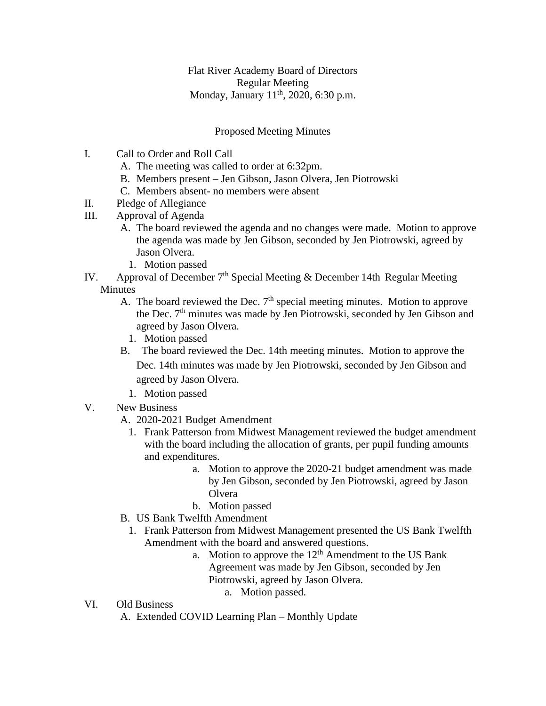Flat River Academy Board of Directors Regular Meeting Monday, January  $11^{th}$ , 2020, 6:30 p.m.

## Proposed Meeting Minutes

- I. Call to Order and Roll Call
	- A. The meeting was called to order at 6:32pm.
	- B. Members present Jen Gibson, Jason Olvera, Jen Piotrowski
	- C. Members absent- no members were absent
- II. Pledge of Allegiance
- III. Approval of Agenda
	- A. The board reviewed the agenda and no changes were made. Motion to approve the agenda was made by Jen Gibson, seconded by Jen Piotrowski, agreed by Jason Olvera.
		- 1. Motion passed
- IV. Approval of December  $7<sup>th</sup>$  Special Meeting & December 14th Regular Meeting Minutes
	- A. The board reviewed the Dec.  $7<sup>th</sup>$  special meeting minutes. Motion to approve the Dec.  $7<sup>th</sup>$  minutes was made by Jen Piotrowski, seconded by Jen Gibson and agreed by Jason Olvera.
		- 1. Motion passed
	- B. The board reviewed the Dec. 14th meeting minutes. Motion to approve the Dec. 14th minutes was made by Jen Piotrowski, seconded by Jen Gibson and agreed by Jason Olvera.
		- 1. Motion passed
- V. New Business
	- A. 2020-2021 Budget Amendment
		- 1. Frank Patterson from Midwest Management reviewed the budget amendment with the board including the allocation of grants, per pupil funding amounts and expenditures.
			- a. Motion to approve the 2020-21 budget amendment was made by Jen Gibson, seconded by Jen Piotrowski, agreed by Jason **O**lvera
			- b. Motion passed
	- B. US Bank Twelfth Amendment
		- 1. Frank Patterson from Midwest Management presented the US Bank Twelfth Amendment with the board and answered questions.
			- a. Motion to approve the  $12<sup>th</sup>$  Amendment to the US Bank Agreement was made by Jen Gibson, seconded by Jen Piotrowski, agreed by Jason Olvera.
				- a. Motion passed.
- VI. Old Business
	- A. Extended COVID Learning Plan Monthly Update